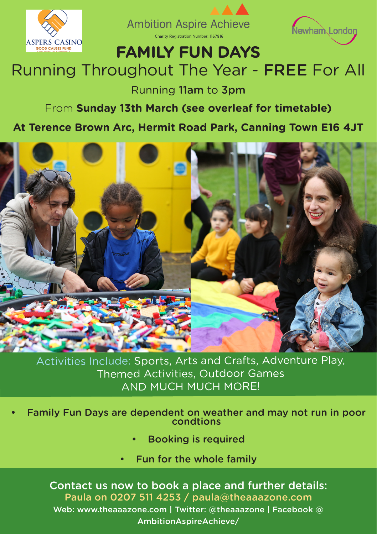





## **FAMILY FUN DAYS**

# Running Throughout The Year - FREE For All

Running 11am to 3pm

#### From **Sunday 13th March (see overleaf for timetable)**

#### **At Terence Brown Arc, Hermit Road Park, Canning Town E16 4JT**



Activities Include: Sports, Arts and Crafts, Adventure Play, Themed Activities, Outdoor Games AND MUCH MUCH MORE!

- Family Fun Days are dependent on weather and may not run in poor condtions
	- Booking is required
	- Fun for the whole family

Contact us now to book a place and further details: Paula on 0207 511 4253 / paula@theaaazone.com Web: www.theaaazone.com | Twitter: @theaaazone | Facebook @ AmbitionAspireAchieve/